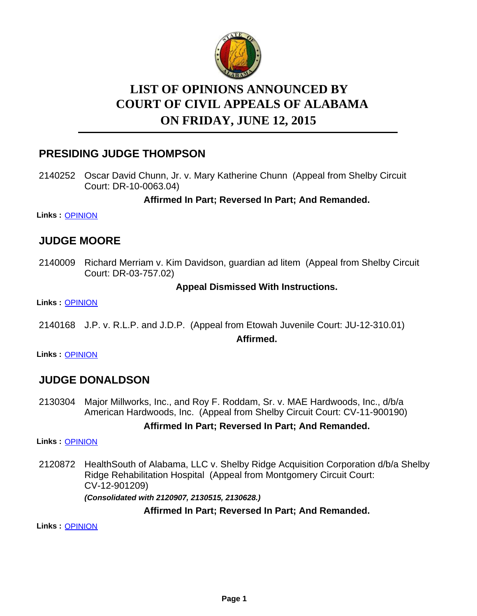

# **LIST OF OPINIONS ANNOUNCED BY ON FRIDAY, JUNE 12, 2015 COURT OF CIVIL APPEALS OF ALABAMA**

## **PRESIDING JUDGE THOMPSON**

2140252 Oscar David Chunn, Jr. v. Mary Katherine Chunn (Appeal from Shelby Circuit Court: DR-10-0063.04)

**Affirmed In Part; Reversed In Part; And Remanded.**

**Links :** [OPINION](https://acis.alabama.gov/displaydocs.cfm?no=663757&event=4DG0LXMNB)

## **JUDGE MOORE**

2140009 Richard Merriam v. Kim Davidson, guardian ad litem (Appeal from Shelby Circuit Court: DR-03-757.02)

## **Appeal Dismissed With Instructions.**

**Links :** [OPINION](https://acis.alabama.gov/displaydocs.cfm?no=663754&event=4DG0LXM4P)

2140168 J.P. v. R.L.P. and J.D.P. (Appeal from Etowah Juvenile Court: JU-12-310.01)

**Affirmed.**

**Links :** [OPINION](https://acis.alabama.gov/displaydocs.cfm?no=663756&event=4DG0LXMI4)

## **JUDGE DONALDSON**

2130304 Major Millworks, Inc., and Roy F. Roddam, Sr. v. MAE Hardwoods, Inc., d/b/a American Hardwoods, Inc. (Appeal from Shelby Circuit Court: CV-11-900190)

## **Affirmed In Part; Reversed In Part; And Remanded.**

**Links :** [OPINION](https://acis.alabama.gov/displaydocs.cfm?no=663752&event=4DG0LXLBN)

2120872 HealthSouth of Alabama, LLC v. Shelby Ridge Acquisition Corporation d/b/a Shelby Ridge Rehabilitation Hospital (Appeal from Montgomery Circuit Court: CV-12-901209)

*(Consolidated with 2120907, 2130515, 2130628.)*

## **Affirmed In Part; Reversed In Part; And Remanded.**

**Links :** [OPINION](https://acis.alabama.gov/displaydocs.cfm?no=663750&event=4DG0LXJZJ)